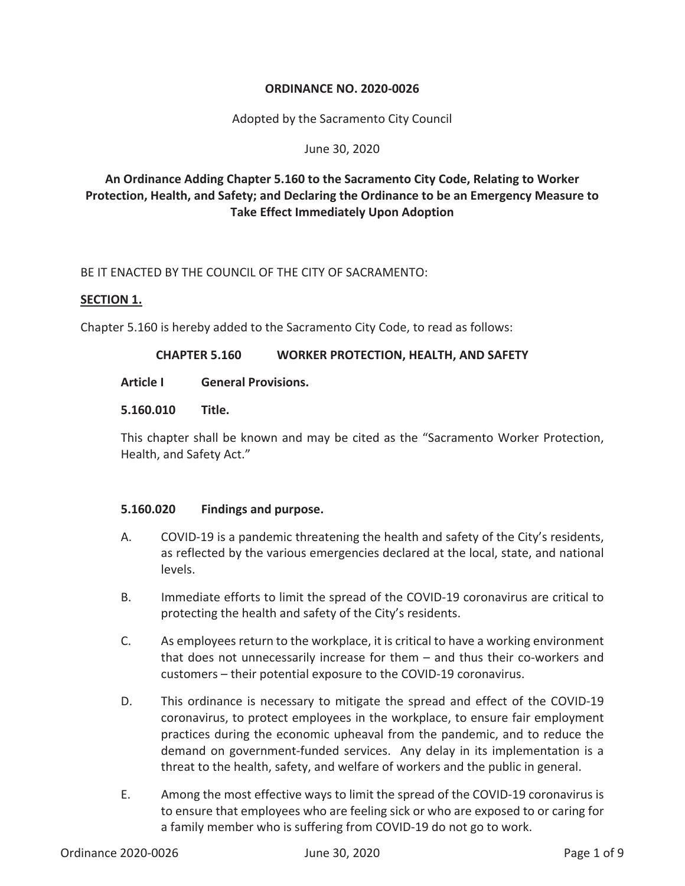# **ORDINANCE NO. 2020-0026**

Adopted by the Sacramento City Council

#### June 30, 2020

# **An Ordinance Adding Chapter 5.160 to the Sacramento City Code, Relating to Worker Protection, Health, and Safety; and Declaring the Ordinance to be an Emergency Measure to Take Effect Immediately Upon Adoption**

BE IT ENACTED BY THE COUNCIL OF THE CITY OF SACRAMENTO:

#### **SECTION 1.**

Chapter 5.160 is hereby added to the Sacramento City Code, to read as follows:

#### **CHAPTER 5.160 WORKER PROTECTION, HEALTH, AND SAFETY**

#### **Article I General Provisions.**

#### **5.160.010 Title.**

This chapter shall be known and may be cited as the "Sacramento Worker Protection, Health, and Safety Act."

#### **5.160.020 Findings and purpose.**

- A. COVID-19 is a pandemic threatening the health and safety of the City's residents, as reflected by the various emergencies declared at the local, state, and national levels.
- B. Immediate efforts to limit the spread of the COVID-19 coronavirus are critical to protecting the health and safety of the City's residents.
- C. As employees return to the workplace, it is critical to have a working environment that does not unnecessarily increase for them – and thus their co-workers and customers – their potential exposure to the COVID-19 coronavirus.
- D. This ordinance is necessary to mitigate the spread and effect of the COVID-19 coronavirus, to protect employees in the workplace, to ensure fair employment practices during the economic upheaval from the pandemic, and to reduce the demand on government-funded services. Any delay in its implementation is a threat to the health, safety, and welfare of workers and the public in general.
- E. Among the most effective ways to limit the spread of the COVID-19 coronavirus is to ensure that employees who are feeling sick or who are exposed to or caring for a family member who is suffering from COVID-19 do not go to work.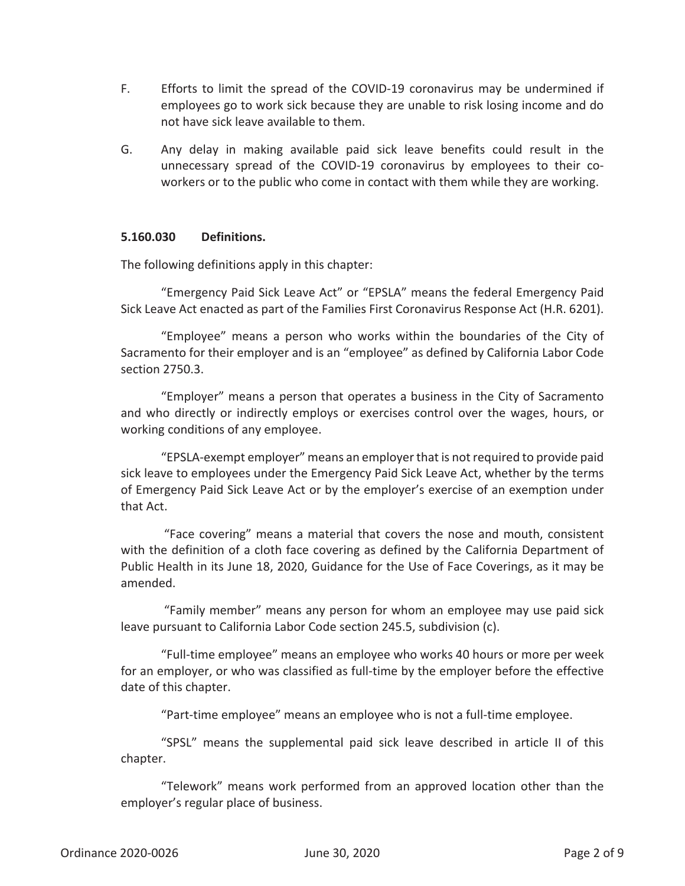- F. Efforts to limit the spread of the COVID-19 coronavirus may be undermined if employees go to work sick because they are unable to risk losing income and do not have sick leave available to them.
- G. Any delay in making available paid sick leave benefits could result in the unnecessary spread of the COVID-19 coronavirus by employees to their coworkers or to the public who come in contact with them while they are working.

#### **5.160.030 Definitions.**

The following definitions apply in this chapter:

"Emergency Paid Sick Leave Act" or "EPSLA" means the federal Emergency Paid Sick Leave Act enacted as part of the Families First Coronavirus Response Act (H.R. 6201).

"Employee" means a person who works within the boundaries of the City of Sacramento for their employer and is an "employee" as defined by California Labor Code section 2750.3.

"Employer" means a person that operates a business in the City of Sacramento and who directly or indirectly employs or exercises control over the wages, hours, or working conditions of any employee.

"EPSLA-exempt employer" means an employer that is not required to provide paid sick leave to employees under the Emergency Paid Sick Leave Act, whether by the terms of Emergency Paid Sick Leave Act or by the employer's exercise of an exemption under that Act.

 "Face covering" means a material that covers the nose and mouth, consistent with the definition of a cloth face covering as defined by the California Department of Public Health in its June 18, 2020, Guidance for the Use of Face Coverings, as it may be amended.

 "Family member" means any person for whom an employee may use paid sick leave pursuant to California Labor Code section 245.5, subdivision (c).

"Full-time employee" means an employee who works 40 hours or more per week for an employer, or who was classified as full-time by the employer before the effective date of this chapter.

"Part-time employee" means an employee who is not a full-time employee.

"SPSL" means the supplemental paid sick leave described in article II of this chapter.

"Telework" means work performed from an approved location other than the employer's regular place of business.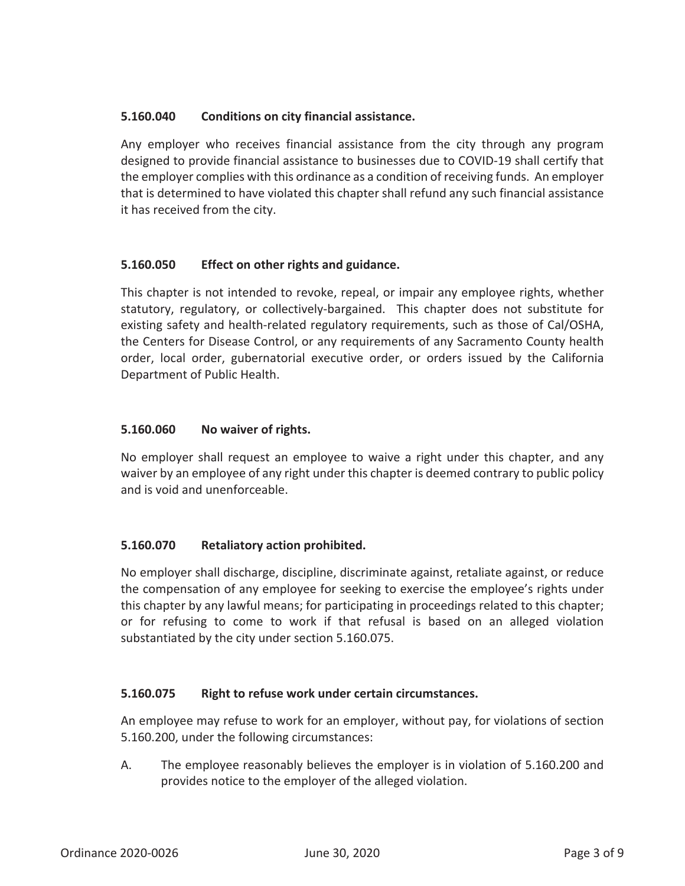# **5.160.040 Conditions on city financial assistance.**

Any employer who receives financial assistance from the city through any program designed to provide financial assistance to businesses due to COVID-19 shall certify that the employer complies with this ordinance as a condition of receiving funds. An employer that is determined to have violated this chapter shall refund any such financial assistance it has received from the city.

# **5.160.050 Effect on other rights and guidance.**

This chapter is not intended to revoke, repeal, or impair any employee rights, whether statutory, regulatory, or collectively-bargained. This chapter does not substitute for existing safety and health-related regulatory requirements, such as those of Cal/OSHA, the Centers for Disease Control, or any requirements of any Sacramento County health order, local order, gubernatorial executive order, or orders issued by the California Department of Public Health.

# **5.160.060 No waiver of rights.**

No employer shall request an employee to waive a right under this chapter, and any waiver by an employee of any right under this chapter is deemed contrary to public policy and is void and unenforceable.

# **5.160.070 Retaliatory action prohibited.**

No employer shall discharge, discipline, discriminate against, retaliate against, or reduce the compensation of any employee for seeking to exercise the employee's rights under this chapter by any lawful means; for participating in proceedings related to this chapter; or for refusing to come to work if that refusal is based on an alleged violation substantiated by the city under section 5.160.075.

# **5.160.075 Right to refuse work under certain circumstances.**

An employee may refuse to work for an employer, without pay, for violations of section 5.160.200, under the following circumstances:

A. The employee reasonably believes the employer is in violation of 5.160.200 and provides notice to the employer of the alleged violation.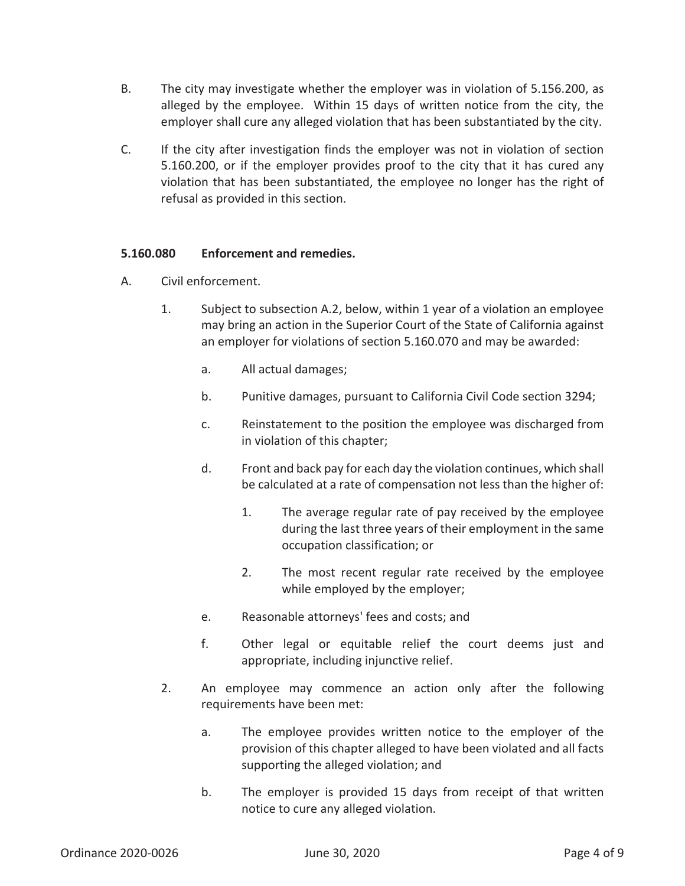- B. The city may investigate whether the employer was in violation of 5.156.200, as alleged by the employee. Within 15 days of written notice from the city, the employer shall cure any alleged violation that has been substantiated by the city.
- C. If the city after investigation finds the employer was not in violation of section 5.160.200, or if the employer provides proof to the city that it has cured any violation that has been substantiated, the employee no longer has the right of refusal as provided in this section.

# **5.160.080 Enforcement and remedies.**

- A. Civil enforcement.
	- 1. Subject to subsection A.2, below, within 1 year of a violation an employee may bring an action in the Superior Court of the State of California against an employer for violations of section 5.160.070 and may be awarded:
		- a. All actual damages;
		- b. Punitive damages, pursuant to California Civil Code section 3294;
		- c. Reinstatement to the position the employee was discharged from in violation of this chapter;
		- d. Front and back pay for each day the violation continues, which shall be calculated at a rate of compensation not less than the higher of:
			- 1. The average regular rate of pay received by the employee during the last three years of their employment in the same occupation classification; or
			- 2. The most recent regular rate received by the employee while employed by the employer;
		- e. Reasonable attorneys' fees and costs; and
		- f. Other legal or equitable relief the court deems just and appropriate, including injunctive relief.
	- 2. An employee may commence an action only after the following requirements have been met:
		- a. The employee provides written notice to the employer of the provision of this chapter alleged to have been violated and all facts supporting the alleged violation; and
		- b. The employer is provided 15 days from receipt of that written notice to cure any alleged violation.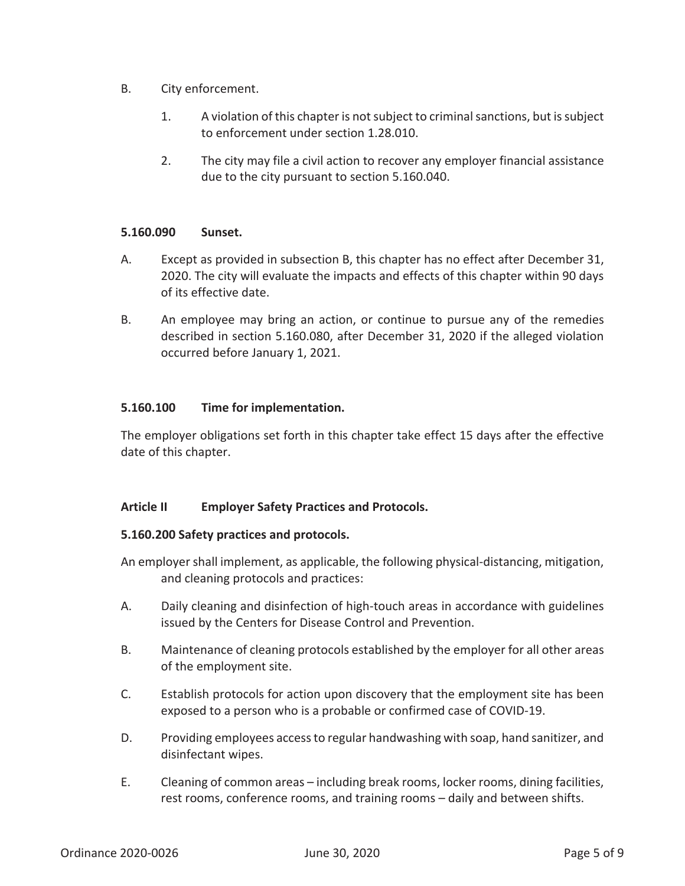- B. City enforcement.
	- 1. A violation of this chapter is not subject to criminal sanctions, but is subject to enforcement under section 1.28.010.
	- 2. The city may file a civil action to recover any employer financial assistance due to the city pursuant to section 5.160.040.

#### **5.160.090 Sunset.**

- A. Except as provided in subsection B, this chapter has no effect after December 31, 2020. The city will evaluate the impacts and effects of this chapter within 90 days of its effective date.
- B. An employee may bring an action, or continue to pursue any of the remedies described in section 5.160.080, after December 31, 2020 if the alleged violation occurred before January 1, 2021.

# **5.160.100 Time for implementation.**

The employer obligations set forth in this chapter take effect 15 days after the effective date of this chapter.

# **Article II Employer Safety Practices and Protocols.**

#### **5.160.200 Safety practices and protocols.**

An employer shall implement, as applicable, the following physical-distancing, mitigation, and cleaning protocols and practices:

- A. Daily cleaning and disinfection of high-touch areas in accordance with guidelines issued by the Centers for Disease Control and Prevention.
- B. Maintenance of cleaning protocols established by the employer for all other areas of the employment site.
- C. Establish protocols for action upon discovery that the employment site has been exposed to a person who is a probable or confirmed case of COVID-19.
- D. Providing employees access to regular handwashing with soap, hand sanitizer, and disinfectant wipes.
- E. Cleaning of common areas including break rooms, locker rooms, dining facilities, rest rooms, conference rooms, and training rooms – daily and between shifts.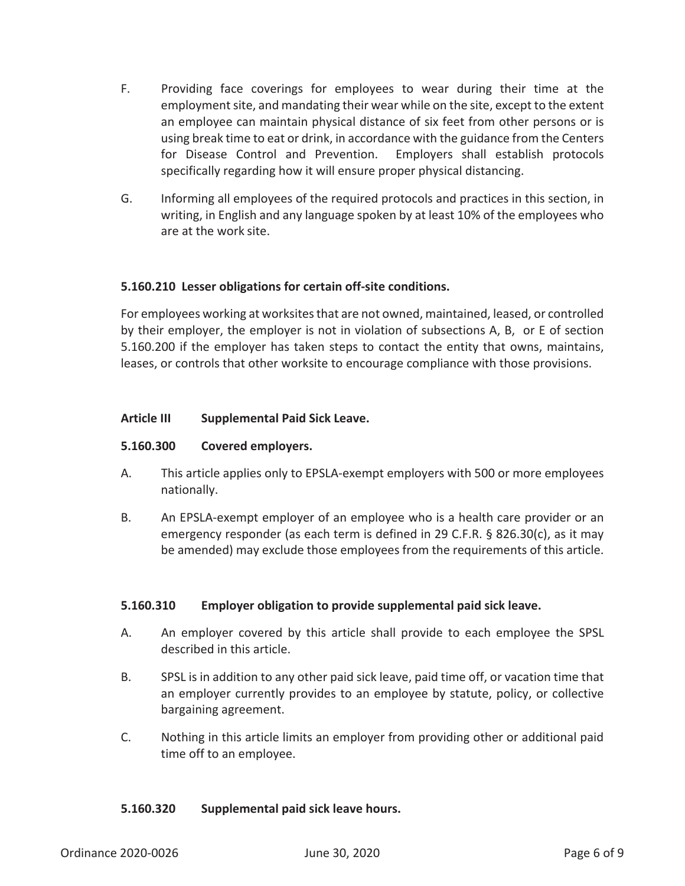- F. Providing face coverings for employees to wear during their time at the employment site, and mandating their wear while on the site, except to the extent an employee can maintain physical distance of six feet from other persons or is using break time to eat or drink, in accordance with the guidance from the Centers for Disease Control and Prevention. Employers shall establish protocols specifically regarding how it will ensure proper physical distancing.
- G. Informing all employees of the required protocols and practices in this section, in writing, in English and any language spoken by at least 10% of the employees who are at the work site.

# **5.160.210 Lesser obligations for certain off-site conditions.**

For employees working at worksites that are not owned, maintained, leased, or controlled by their employer, the employer is not in violation of subsections A, B, or E of section 5.160.200 if the employer has taken steps to contact the entity that owns, maintains, leases, or controls that other worksite to encourage compliance with those provisions.

# **Article III Supplemental Paid Sick Leave.**

#### **5.160.300 Covered employers.**

- A. This article applies only to EPSLA-exempt employers with 500 or more employees nationally.
- B. An EPSLA-exempt employer of an employee who is a health care provider or an emergency responder (as each term is defined in 29 C.F.R. § 826.30(c), as it may be amended) may exclude those employees from the requirements of this article.

# **5.160.310 Employer obligation to provide supplemental paid sick leave.**

- A. An employer covered by this article shall provide to each employee the SPSL described in this article.
- B. SPSL is in addition to any other paid sick leave, paid time off, or vacation time that an employer currently provides to an employee by statute, policy, or collective bargaining agreement.
- C. Nothing in this article limits an employer from providing other or additional paid time off to an employee.

#### **5.160.320 Supplemental paid sick leave hours.**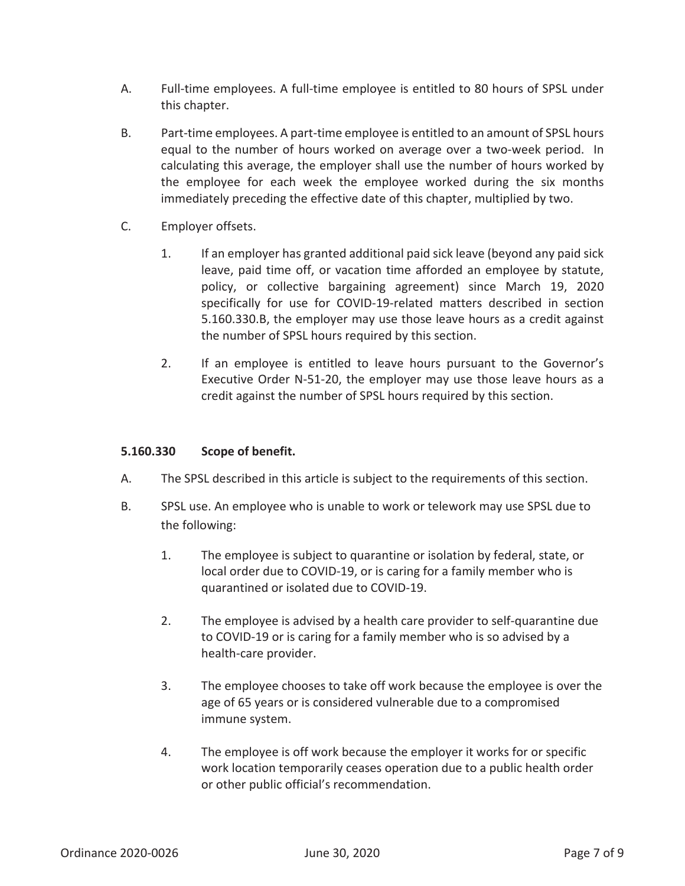- A. Full-time employees. A full-time employee is entitled to 80 hours of SPSL under this chapter.
- B. Part-time employees. A part-time employee is entitled to an amount of SPSL hours equal to the number of hours worked on average over a two-week period. In calculating this average, the employer shall use the number of hours worked by the employee for each week the employee worked during the six months immediately preceding the effective date of this chapter, multiplied by two.
- C. Employer offsets.
	- 1. If an employer has granted additional paid sick leave (beyond any paid sick leave, paid time off, or vacation time afforded an employee by statute, policy, or collective bargaining agreement) since March 19, 2020 specifically for use for COVID-19-related matters described in section 5.160.330.B, the employer may use those leave hours as a credit against the number of SPSL hours required by this section.
	- 2. If an employee is entitled to leave hours pursuant to the Governor's Executive Order N-51-20, the employer may use those leave hours as a credit against the number of SPSL hours required by this section.

# **5.160.330 Scope of benefit.**

- A. The SPSL described in this article is subject to the requirements of this section.
- B. SPSL use. An employee who is unable to work or telework may use SPSL due to the following:
	- 1. The employee is subject to quarantine or isolation by federal, state, or local order due to COVID-19, or is caring for a family member who is quarantined or isolated due to COVID-19.
	- 2. The employee is advised by a health care provider to self-quarantine due to COVID-19 or is caring for a family member who is so advised by a health-care provider.
	- 3. The employee chooses to take off work because the employee is over the age of 65 years or is considered vulnerable due to a compromised immune system.
	- 4. The employee is off work because the employer it works for or specific work location temporarily ceases operation due to a public health order or other public official's recommendation.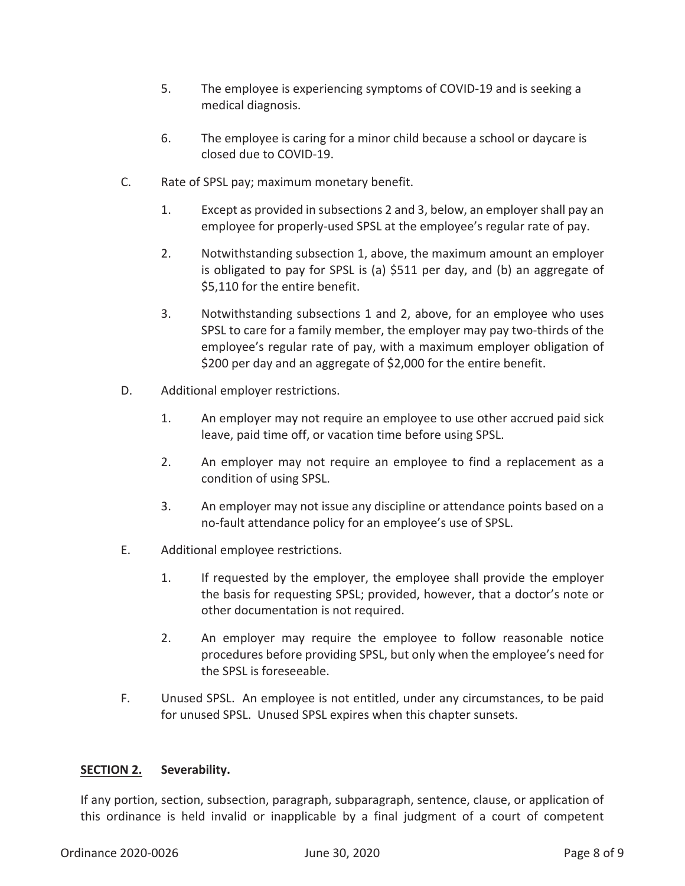- 5. The employee is experiencing symptoms of COVID-19 and is seeking a medical diagnosis.
- 6. The employee is caring for a minor child because a school or daycare is closed due to COVID-19.
- C. Rate of SPSL pay; maximum monetary benefit.
	- 1. Except as provided in subsections 2 and 3, below, an employer shall pay an employee for properly-used SPSL at the employee's regular rate of pay.
	- 2. Notwithstanding subsection 1, above, the maximum amount an employer is obligated to pay for SPSL is (a) \$511 per day, and (b) an aggregate of \$5,110 for the entire benefit.
	- 3. Notwithstanding subsections 1 and 2, above, for an employee who uses SPSL to care for a family member, the employer may pay two-thirds of the employee's regular rate of pay, with a maximum employer obligation of \$200 per day and an aggregate of \$2,000 for the entire benefit.
- D. Additional employer restrictions.
	- 1. An employer may not require an employee to use other accrued paid sick leave, paid time off, or vacation time before using SPSL.
	- 2. An employer may not require an employee to find a replacement as a condition of using SPSL.
	- 3. An employer may not issue any discipline or attendance points based on a no-fault attendance policy for an employee's use of SPSL.
- E. Additional employee restrictions.
	- 1. If requested by the employer, the employee shall provide the employer the basis for requesting SPSL; provided, however, that a doctor's note or other documentation is not required.
	- 2. An employer may require the employee to follow reasonable notice procedures before providing SPSL, but only when the employee's need for the SPSL is foreseeable.
- F. Unused SPSL. An employee is not entitled, under any circumstances, to be paid for unused SPSL. Unused SPSL expires when this chapter sunsets.

# **SECTION 2. Severability.**

If any portion, section, subsection, paragraph, subparagraph, sentence, clause, or application of this ordinance is held invalid or inapplicable by a final judgment of a court of competent